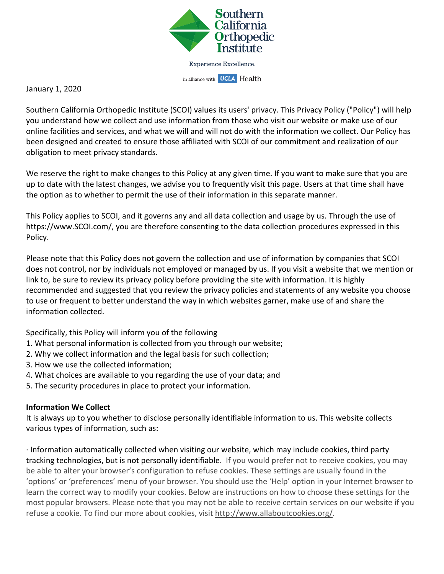

#### January 1, 2020

Southern California Orthopedic Institute (SCOI) values its users' privacy. This Privacy Policy ("Policy") will help you understand how we collect and use information from those who visit our website or make use of our online facilities and services, and what we will and will not do with the information we collect. Our Policy has been designed and created to ensure those affiliated with SCOI of our commitment and realization of our obligation to meet privacy standards.

We reserve the right to make changes to this Policy at any given time. If you want to make sure that you are up to date with the latest changes, we advise you to frequently visit this page. Users at that time shall have the option as to whether to permit the use of their information in this separate manner.

This Policy applies to SCOI, and it governs any and all data collection and usage by us. Through the use of https://www.SCOI.com/, you are therefore consenting to the data collection procedures expressed in this Policy.

Please note that this Policy does not govern the collection and use of information by companies that SCOI does not control, nor by individuals not employed or managed by us. If you visit a website that we mention or link to, be sure to review its privacy policy before providing the site with information. It is highly recommended and suggested that you review the privacy policies and statements of any website you choose to use or frequent to better understand the way in which websites garner, make use of and share the information collected.

Specifically, this Policy will inform you of the following

- 1. What personal information is collected from you through our website;
- 2. Why we collect information and the legal basis for such collection;
- 3. How we use the collected information;
- 4. What choices are available to you regarding the use of your data; and
- 5. The security procedures in place to protect your information.

# **Information We Collect**

It is always up to you whether to disclose personally identifiable information to us. This website collects various types of information, such as:

· Information automatically collected when visiting our website, which may include cookies, third party tracking technologies, but is not personally identifiable. If you would prefer not to receive cookies, you may be able to alter your browser's configuration to refuse cookies. These settings are usually found in the 'options' or 'preferences' menu of your browser. You should use the 'Help' option in your Internet browser to learn the correct way to modify your cookies. Below are instructions on how to choose these settings for the most popular browsers. Please note that you may not be able to receive certain services on our website if you refuse a cookie. To find our more about cookies, visit http://www.allaboutcookies.org/.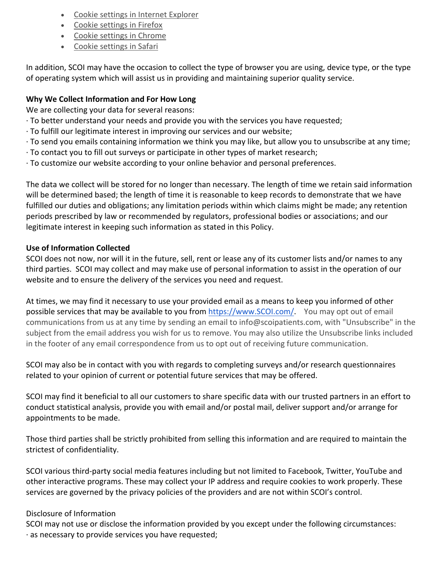- Cookie settings in Internet Explorer
- Cookie settings in Firefox
- Cookie settings in Chrome
- Cookie settings in Safari

In addition, SCOI may have the occasion to collect the type of browser you are using, device type, or the type of operating system which will assist us in providing and maintaining superior quality service.

# **Why We Collect Information and For How Long**

We are collecting your data for several reasons:

- · To better understand your needs and provide you with the services you have requested;
- · To fulfill our legitimate interest in improving our services and our website;
- · To send you emails containing information we think you may like, but allow you to unsubscribe at any time;
- · To contact you to fill out surveys or participate in other types of market research;
- · To customize our website according to your online behavior and personal preferences.

The data we collect will be stored for no longer than necessary. The length of time we retain said information will be determined based; the length of time it is reasonable to keep records to demonstrate that we have fulfilled our duties and obligations; any limitation periods within which claims might be made; any retention periods prescribed by law or recommended by regulators, professional bodies or associations; and our legitimate interest in keeping such information as stated in this Policy.

# **Use of Information Collected**

SCOI does not now, nor will it in the future, sell, rent or lease any of its customer lists and/or names to any third parties. SCOI may collect and may make use of personal information to assist in the operation of our website and to ensure the delivery of the services you need and request.

At times, we may find it necessary to use your provided email as a means to keep you informed of other possible services that may be available to you from https://www.SCOI.com/. You may opt out of email communications from us at any time by sending an email to info@scoipatients.com, with "Unsubscribe" in the subject from the email address you wish for us to remove. You may also utilize the Unsubscribe links included in the footer of any email correspondence from us to opt out of receiving future communication.

SCOI may also be in contact with you with regards to completing surveys and/or research questionnaires related to your opinion of current or potential future services that may be offered.

SCOI may find it beneficial to all our customers to share specific data with our trusted partners in an effort to conduct statistical analysis, provide you with email and/or postal mail, deliver support and/or arrange for appointments to be made.

Those third parties shall be strictly prohibited from selling this information and are required to maintain the strictest of confidentiality.

SCOI various third-party social media features including but not limited to Facebook, Twitter, YouTube and other interactive programs. These may collect your IP address and require cookies to work properly. These services are governed by the privacy policies of the providers and are not within SCOI's control.

# Disclosure of Information

SCOI may not use or disclose the information provided by you except under the following circumstances: · as necessary to provide services you have requested;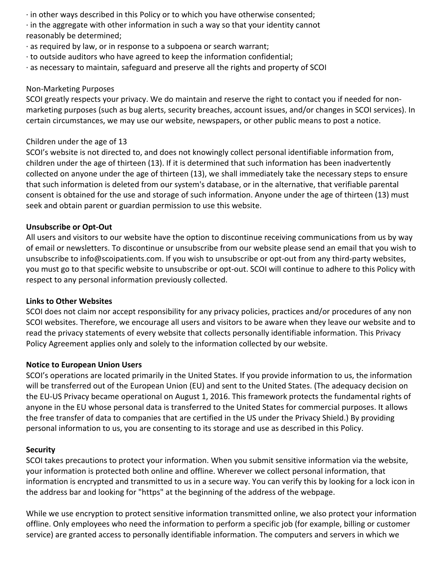· in other ways described in this Policy or to which you have otherwise consented;

· in the aggregate with other information in such a way so that your identity cannot reasonably be determined;

- · as required by law, or in response to a subpoena or search warrant;
- · to outside auditors who have agreed to keep the information confidential;
- · as necessary to maintain, safeguard and preserve all the rights and property of SCOI

## Non-Marketing Purposes

SCOI greatly respects your privacy. We do maintain and reserve the right to contact you if needed for nonmarketing purposes (such as bug alerts, security breaches, account issues, and/or changes in SCOI services). In certain circumstances, we may use our website, newspapers, or other public means to post a notice.

## Children under the age of 13

SCOI's website is not directed to, and does not knowingly collect personal identifiable information from, children under the age of thirteen (13). If it is determined that such information has been inadvertently collected on anyone under the age of thirteen (13), we shall immediately take the necessary steps to ensure that such information is deleted from our system's database, or in the alternative, that verifiable parental consent is obtained for the use and storage of such information. Anyone under the age of thirteen (13) must seek and obtain parent or guardian permission to use this website.

#### **Unsubscribe or Opt-Out**

All users and visitors to our website have the option to discontinue receiving communications from us by way of email or newsletters. To discontinue or unsubscribe from our website please send an email that you wish to unsubscribe to info@scoipatients.com. If you wish to unsubscribe or opt-out from any third-party websites, you must go to that specific website to unsubscribe or opt-out. SCOI will continue to adhere to this Policy with respect to any personal information previously collected.

#### **Links to Other Websites**

SCOI does not claim nor accept responsibility for any privacy policies, practices and/or procedures of any non SCOI websites. Therefore, we encourage all users and visitors to be aware when they leave our website and to read the privacy statements of every website that collects personally identifiable information. This Privacy Policy Agreement applies only and solely to the information collected by our website.

#### **Notice to European Union Users**

SCOI's operations are located primarily in the United States. If you provide information to us, the information will be transferred out of the European Union (EU) and sent to the United States. (The adequacy decision on the EU-US Privacy became operational on August 1, 2016. This framework protects the fundamental rights of anyone in the EU whose personal data is transferred to the United States for commercial purposes. It allows the free transfer of data to companies that are certified in the US under the Privacy Shield.) By providing personal information to us, you are consenting to its storage and use as described in this Policy.

#### **Security**

SCOI takes precautions to protect your information. When you submit sensitive information via the website, your information is protected both online and offline. Wherever we collect personal information, that information is encrypted and transmitted to us in a secure way. You can verify this by looking for a lock icon in the address bar and looking for "https" at the beginning of the address of the webpage.

While we use encryption to protect sensitive information transmitted online, we also protect your information offline. Only employees who need the information to perform a specific job (for example, billing or customer service) are granted access to personally identifiable information. The computers and servers in which we